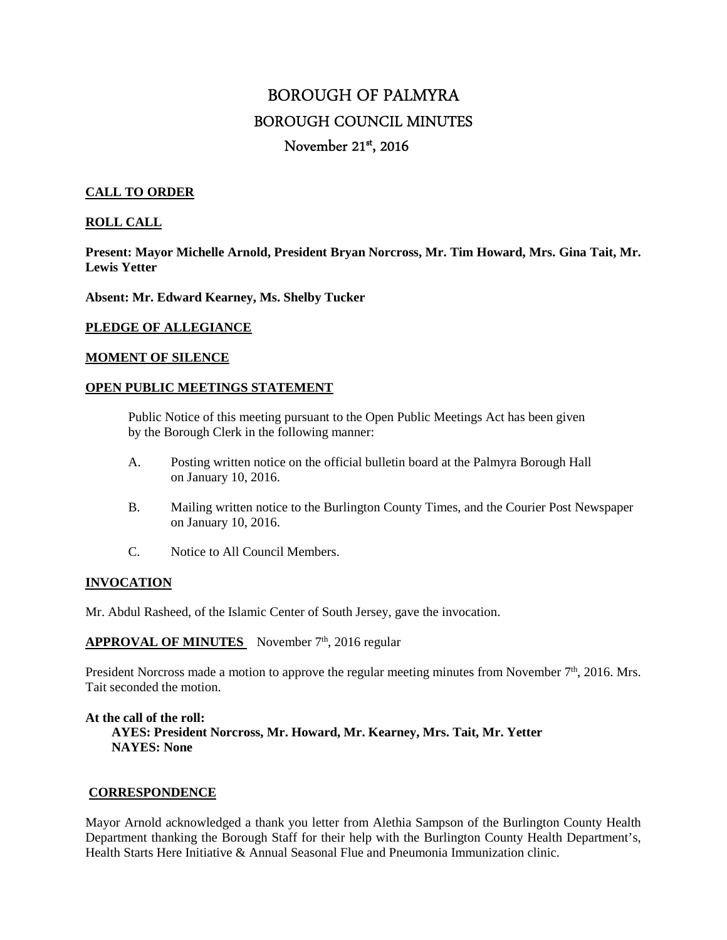# BOROUGH OF PALMYRA BOROUGH COUNCIL MINUTES November 21<sup>st</sup>, 2016

# **CALL TO ORDER**

# **ROLL CALL**

**Present: Mayor Michelle Arnold, President Bryan Norcross, Mr. Tim Howard, Mrs. Gina Tait, Mr. Lewis Yetter** 

**Absent: Mr. Edward Kearney, Ms. Shelby Tucker** 

### **PLEDGE OF ALLEGIANCE**

#### **MOMENT OF SILENCE**

#### **OPEN PUBLIC MEETINGS STATEMENT**

 Public Notice of this meeting pursuant to the Open Public Meetings Act has been given by the Borough Clerk in the following manner:

- A. Posting written notice on the official bulletin board at the Palmyra Borough Hall on January 10, 2016.
- B. Mailing written notice to the Burlington County Times, and the Courier Post Newspaper on January 10, 2016.
- C. Notice to All Council Members.

#### **INVOCATION**

Mr. Abdul Rasheed, of the Islamic Center of South Jersey, gave the invocation.

# **APPROVAL OF MINUTES** November 7<sup>th</sup>, 2016 regular

President Norcross made a motion to approve the regular meeting minutes from November  $7<sup>th</sup>$ , 2016. Mrs. Tait seconded the motion.

**At the call of the roll: AYES: President Norcross, Mr. Howard, Mr. Kearney, Mrs. Tait, Mr. Yetter NAYES: None** 

#### **CORRESPONDENCE**

Mayor Arnold acknowledged a thank you letter from Alethia Sampson of the Burlington County Health Department thanking the Borough Staff for their help with the Burlington County Health Department's, Health Starts Here Initiative & Annual Seasonal Flue and Pneumonia Immunization clinic.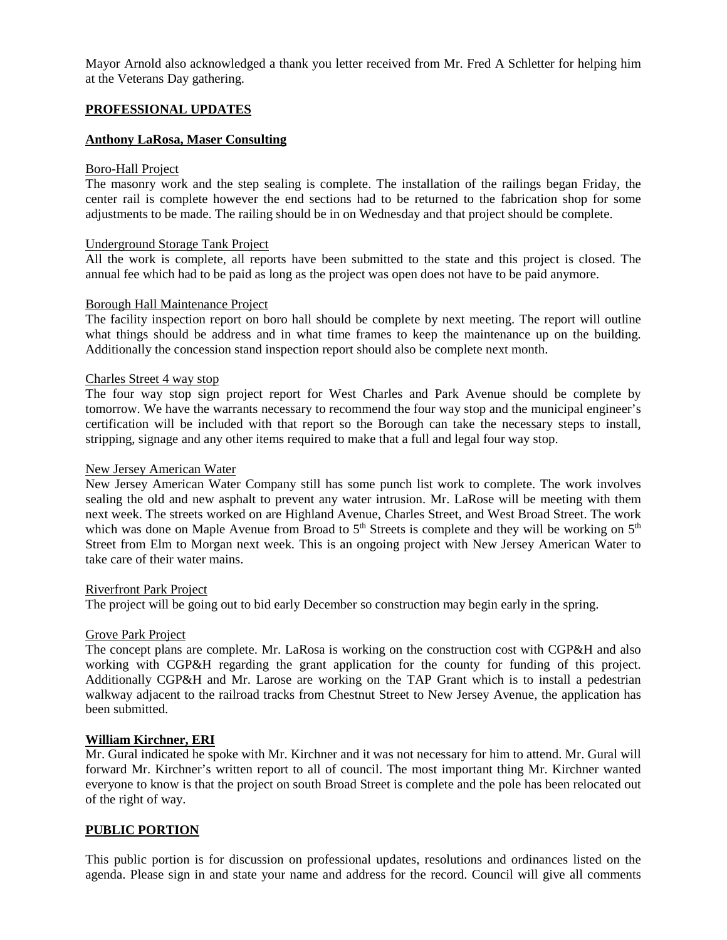Mayor Arnold also acknowledged a thank you letter received from Mr. Fred A Schletter for helping him at the Veterans Day gathering.

# **PROFESSIONAL UPDATES**

# **Anthony LaRosa, Maser Consulting**

#### Boro-Hall Project

The masonry work and the step sealing is complete. The installation of the railings began Friday, the center rail is complete however the end sections had to be returned to the fabrication shop for some adjustments to be made. The railing should be in on Wednesday and that project should be complete.

#### Underground Storage Tank Project

All the work is complete, all reports have been submitted to the state and this project is closed. The annual fee which had to be paid as long as the project was open does not have to be paid anymore.

#### Borough Hall Maintenance Project

The facility inspection report on boro hall should be complete by next meeting. The report will outline what things should be address and in what time frames to keep the maintenance up on the building. Additionally the concession stand inspection report should also be complete next month.

#### Charles Street 4 way stop

The four way stop sign project report for West Charles and Park Avenue should be complete by tomorrow. We have the warrants necessary to recommend the four way stop and the municipal engineer's certification will be included with that report so the Borough can take the necessary steps to install, stripping, signage and any other items required to make that a full and legal four way stop.

#### New Jersey American Water

New Jersey American Water Company still has some punch list work to complete. The work involves sealing the old and new asphalt to prevent any water intrusion. Mr. LaRose will be meeting with them next week. The streets worked on are Highland Avenue, Charles Street, and West Broad Street. The work which was done on Maple Avenue from Broad to  $5<sup>th</sup>$  Streets is complete and they will be working on  $5<sup>th</sup>$ Street from Elm to Morgan next week. This is an ongoing project with New Jersey American Water to take care of their water mains.

#### Riverfront Park Project

The project will be going out to bid early December so construction may begin early in the spring.

#### Grove Park Project

The concept plans are complete. Mr. LaRosa is working on the construction cost with CGP&H and also working with CGP&H regarding the grant application for the county for funding of this project. Additionally CGP&H and Mr. Larose are working on the TAP Grant which is to install a pedestrian walkway adjacent to the railroad tracks from Chestnut Street to New Jersey Avenue, the application has been submitted.

#### **William Kirchner, ERI**

Mr. Gural indicated he spoke with Mr. Kirchner and it was not necessary for him to attend. Mr. Gural will forward Mr. Kirchner's written report to all of council. The most important thing Mr. Kirchner wanted everyone to know is that the project on south Broad Street is complete and the pole has been relocated out of the right of way.

# **PUBLIC PORTION**

This public portion is for discussion on professional updates, resolutions and ordinances listed on the agenda. Please sign in and state your name and address for the record. Council will give all comments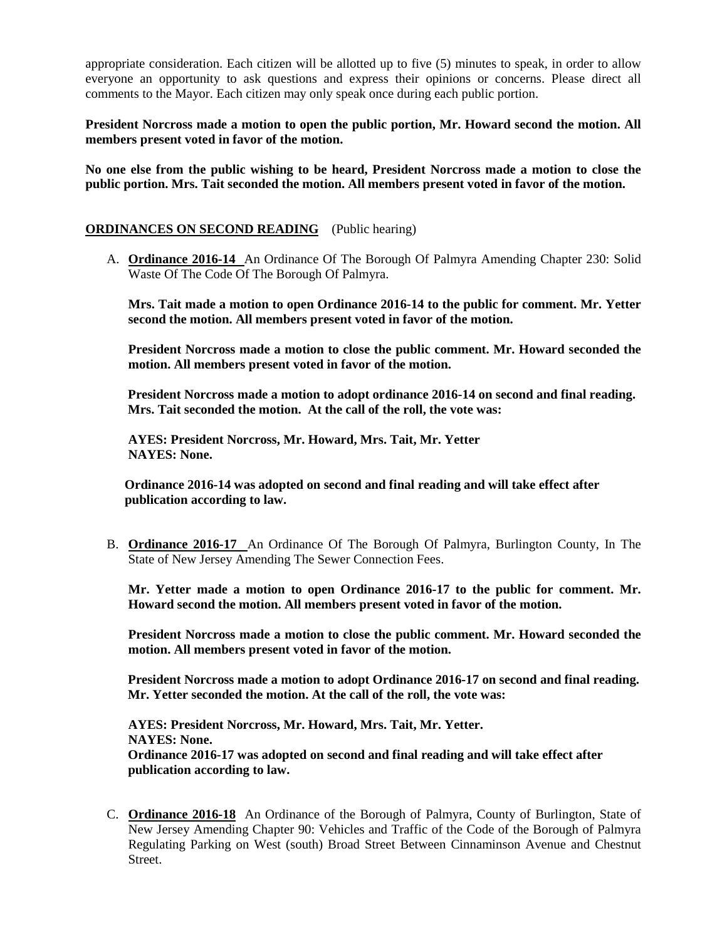appropriate consideration. Each citizen will be allotted up to five (5) minutes to speak, in order to allow everyone an opportunity to ask questions and express their opinions or concerns. Please direct all comments to the Mayor. Each citizen may only speak once during each public portion.

**President Norcross made a motion to open the public portion, Mr. Howard second the motion. All members present voted in favor of the motion.** 

**No one else from the public wishing to be heard, President Norcross made a motion to close the public portion. Mrs. Tait seconded the motion. All members present voted in favor of the motion.** 

# **ORDINANCES ON SECOND READING** (Public hearing)

A. **Ordinance 2016-14** An Ordinance Of The Borough Of Palmyra Amending Chapter 230: Solid Waste Of The Code Of The Borough Of Palmyra.

**Mrs. Tait made a motion to open Ordinance 2016-14 to the public for comment. Mr. Yetter second the motion. All members present voted in favor of the motion.** 

**President Norcross made a motion to close the public comment. Mr. Howard seconded the motion. All members present voted in favor of the motion.** 

 **President Norcross made a motion to adopt ordinance 2016-14 on second and final reading. Mrs. Tait seconded the motion. At the call of the roll, the vote was:** 

 **AYES: President Norcross, Mr. Howard, Mrs. Tait, Mr. Yetter NAYES: None.** 

 **Ordinance 2016-14 was adopted on second and final reading and will take effect after publication according to law.** 

B. **Ordinance 2016-17** An Ordinance Of The Borough Of Palmyra, Burlington County, In The State of New Jersey Amending The Sewer Connection Fees.

**Mr. Yetter made a motion to open Ordinance 2016-17 to the public for comment. Mr. Howard second the motion. All members present voted in favor of the motion.** 

**President Norcross made a motion to close the public comment. Mr. Howard seconded the motion. All members present voted in favor of the motion.** 

 **President Norcross made a motion to adopt Ordinance 2016-17 on second and final reading. Mr. Yetter seconded the motion. At the call of the roll, the vote was:** 

 **AYES: President Norcross, Mr. Howard, Mrs. Tait, Mr. Yetter. NAYES: None. Ordinance 2016-17 was adopted on second and final reading and will take effect after publication according to law.** 

C. **Ordinance 2016-18** An Ordinance of the Borough of Palmyra, County of Burlington, State of New Jersey Amending Chapter 90: Vehicles and Traffic of the Code of the Borough of Palmyra Regulating Parking on West (south) Broad Street Between Cinnaminson Avenue and Chestnut **Street**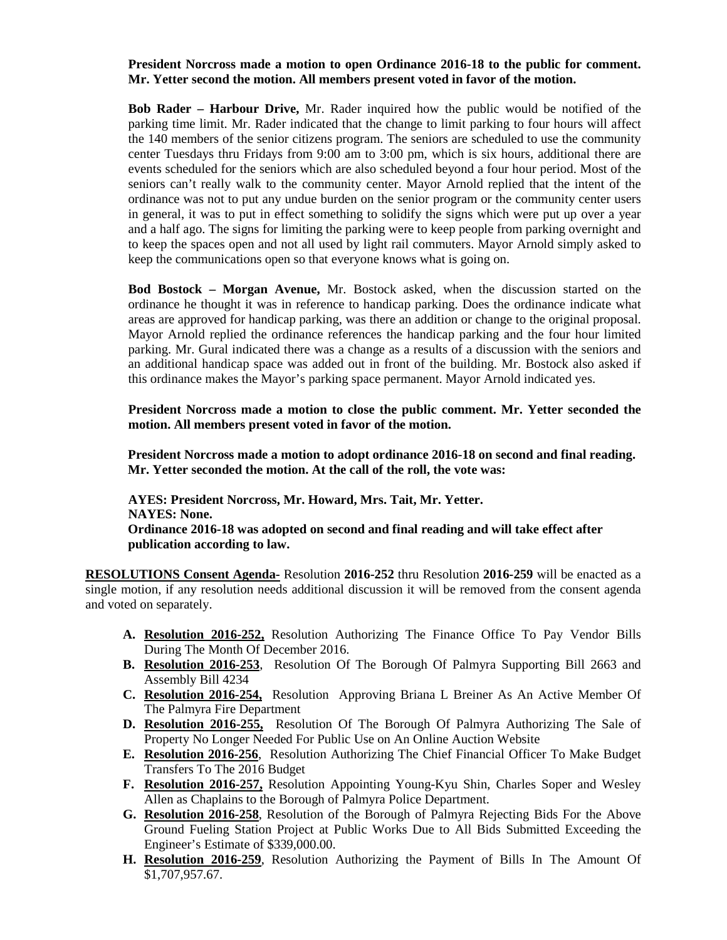# **President Norcross made a motion to open Ordinance 2016-18 to the public for comment. Mr. Yetter second the motion. All members present voted in favor of the motion.**

**Bob Rader – Harbour Drive,** Mr. Rader inquired how the public would be notified of the parking time limit. Mr. Rader indicated that the change to limit parking to four hours will affect the 140 members of the senior citizens program. The seniors are scheduled to use the community center Tuesdays thru Fridays from 9:00 am to 3:00 pm, which is six hours, additional there are events scheduled for the seniors which are also scheduled beyond a four hour period. Most of the seniors can't really walk to the community center. Mayor Arnold replied that the intent of the ordinance was not to put any undue burden on the senior program or the community center users in general, it was to put in effect something to solidify the signs which were put up over a year and a half ago. The signs for limiting the parking were to keep people from parking overnight and to keep the spaces open and not all used by light rail commuters. Mayor Arnold simply asked to keep the communications open so that everyone knows what is going on.

**Bod Bostock – Morgan Avenue,** Mr. Bostock asked, when the discussion started on the ordinance he thought it was in reference to handicap parking. Does the ordinance indicate what areas are approved for handicap parking, was there an addition or change to the original proposal. Mayor Arnold replied the ordinance references the handicap parking and the four hour limited parking. Mr. Gural indicated there was a change as a results of a discussion with the seniors and an additional handicap space was added out in front of the building. Mr. Bostock also asked if this ordinance makes the Mayor's parking space permanent. Mayor Arnold indicated yes.

**President Norcross made a motion to close the public comment. Mr. Yetter seconded the motion. All members present voted in favor of the motion.** 

 **President Norcross made a motion to adopt ordinance 2016-18 on second and final reading. Mr. Yetter seconded the motion. At the call of the roll, the vote was:** 

 **AYES: President Norcross, Mr. Howard, Mrs. Tait, Mr. Yetter. NAYES: None. Ordinance 2016-18 was adopted on second and final reading and will take effect after publication according to law.** 

**RESOLUTIONS Consent Agenda-** Resolution **2016-252** thru Resolution **2016-259** will be enacted as a single motion, if any resolution needs additional discussion it will be removed from the consent agenda and voted on separately.

- **A. Resolution 2016-252,** Resolution Authorizing The Finance Office To Pay Vendor Bills During The Month Of December 2016.
- **B. Resolution 2016-253**, Resolution Of The Borough Of Palmyra Supporting Bill 2663 and Assembly Bill 4234
- **C. Resolution 2016-254,** Resolution Approving Briana L Breiner As An Active Member Of The Palmyra Fire Department
- **D. Resolution 2016-255,** Resolution Of The Borough Of Palmyra Authorizing The Sale of Property No Longer Needed For Public Use on An Online Auction Website
- **E. Resolution 2016-256**, Resolution Authorizing The Chief Financial Officer To Make Budget Transfers To The 2016 Budget
- **F. Resolution 2016-257,** Resolution Appointing Young-Kyu Shin, Charles Soper and Wesley Allen as Chaplains to the Borough of Palmyra Police Department.
- **G. Resolution 2016-258**, Resolution of the Borough of Palmyra Rejecting Bids For the Above Ground Fueling Station Project at Public Works Due to All Bids Submitted Exceeding the Engineer's Estimate of \$339,000.00.
- **H. Resolution 2016-259**, Resolution Authorizing the Payment of Bills In The Amount Of \$1,707,957.67.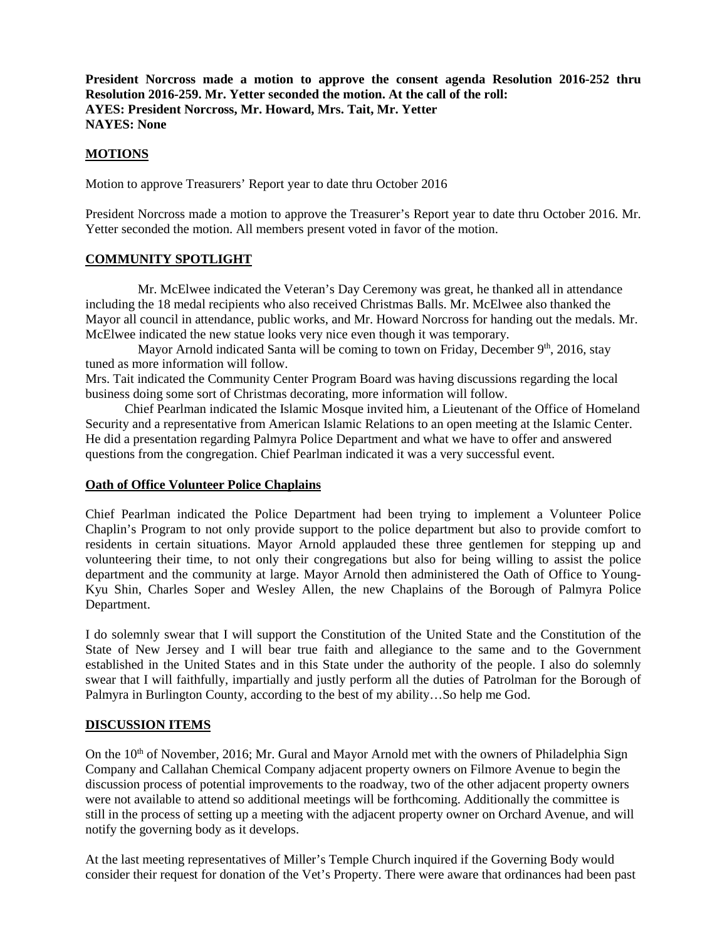**President Norcross made a motion to approve the consent agenda Resolution 2016-252 thru Resolution 2016-259. Mr. Yetter seconded the motion. At the call of the roll: AYES: President Norcross, Mr. Howard, Mrs. Tait, Mr. Yetter NAYES: None** 

# **MOTIONS**

Motion to approve Treasurers' Report year to date thru October 2016

President Norcross made a motion to approve the Treasurer's Report year to date thru October 2016. Mr. Yetter seconded the motion. All members present voted in favor of the motion.

# **COMMUNITY SPOTLIGHT**

 Mr. McElwee indicated the Veteran's Day Ceremony was great, he thanked all in attendance including the 18 medal recipients who also received Christmas Balls. Mr. McElwee also thanked the Mayor all council in attendance, public works, and Mr. Howard Norcross for handing out the medals. Mr. McElwee indicated the new statue looks very nice even though it was temporary.

Mayor Arnold indicated Santa will be coming to town on Friday, December  $9<sup>th</sup>$ , 2016, stay tuned as more information will follow.

Mrs. Tait indicated the Community Center Program Board was having discussions regarding the local business doing some sort of Christmas decorating, more information will follow.

 Chief Pearlman indicated the Islamic Mosque invited him, a Lieutenant of the Office of Homeland Security and a representative from American Islamic Relations to an open meeting at the Islamic Center. He did a presentation regarding Palmyra Police Department and what we have to offer and answered questions from the congregation. Chief Pearlman indicated it was a very successful event.

#### **Oath of Office Volunteer Police Chaplains**

Chief Pearlman indicated the Police Department had been trying to implement a Volunteer Police Chaplin's Program to not only provide support to the police department but also to provide comfort to residents in certain situations. Mayor Arnold applauded these three gentlemen for stepping up and volunteering their time, to not only their congregations but also for being willing to assist the police department and the community at large. Mayor Arnold then administered the Oath of Office to Young-Kyu Shin, Charles Soper and Wesley Allen, the new Chaplains of the Borough of Palmyra Police Department.

I do solemnly swear that I will support the Constitution of the United State and the Constitution of the State of New Jersey and I will bear true faith and allegiance to the same and to the Government established in the United States and in this State under the authority of the people. I also do solemnly swear that I will faithfully, impartially and justly perform all the duties of Patrolman for the Borough of Palmyra in Burlington County, according to the best of my ability…So help me God.

# **DISCUSSION ITEMS**

On the  $10<sup>th</sup>$  of November, 2016; Mr. Gural and Mayor Arnold met with the owners of Philadelphia Sign Company and Callahan Chemical Company adjacent property owners on Filmore Avenue to begin the discussion process of potential improvements to the roadway, two of the other adjacent property owners were not available to attend so additional meetings will be forthcoming. Additionally the committee is still in the process of setting up a meeting with the adjacent property owner on Orchard Avenue, and will notify the governing body as it develops.

At the last meeting representatives of Miller's Temple Church inquired if the Governing Body would consider their request for donation of the Vet's Property. There were aware that ordinances had been past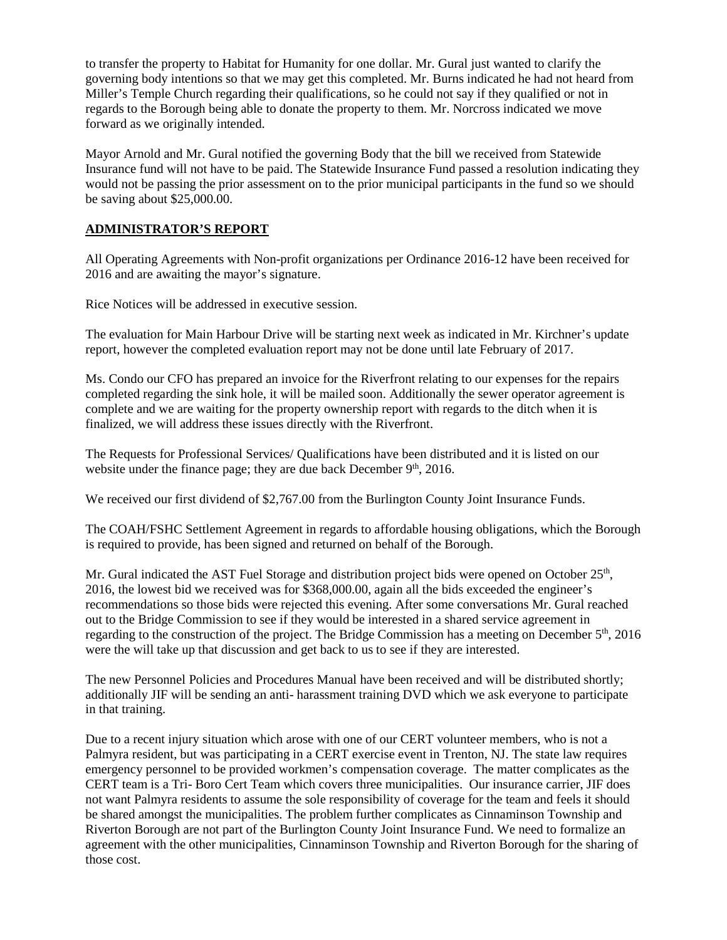to transfer the property to Habitat for Humanity for one dollar. Mr. Gural just wanted to clarify the governing body intentions so that we may get this completed. Mr. Burns indicated he had not heard from Miller's Temple Church regarding their qualifications, so he could not say if they qualified or not in regards to the Borough being able to donate the property to them. Mr. Norcross indicated we move forward as we originally intended.

Mayor Arnold and Mr. Gural notified the governing Body that the bill we received from Statewide Insurance fund will not have to be paid. The Statewide Insurance Fund passed a resolution indicating they would not be passing the prior assessment on to the prior municipal participants in the fund so we should be saving about \$25,000.00.

# **ADMINISTRATOR'S REPORT**

All Operating Agreements with Non-profit organizations per Ordinance 2016-12 have been received for 2016 and are awaiting the mayor's signature.

Rice Notices will be addressed in executive session.

The evaluation for Main Harbour Drive will be starting next week as indicated in Mr. Kirchner's update report, however the completed evaluation report may not be done until late February of 2017.

Ms. Condo our CFO has prepared an invoice for the Riverfront relating to our expenses for the repairs completed regarding the sink hole, it will be mailed soon. Additionally the sewer operator agreement is complete and we are waiting for the property ownership report with regards to the ditch when it is finalized, we will address these issues directly with the Riverfront.

The Requests for Professional Services/ Qualifications have been distributed and it is listed on our website under the finance page; they are due back December  $9<sup>th</sup>$ , 2016.

We received our first dividend of \$2,767.00 from the Burlington County Joint Insurance Funds.

The COAH/FSHC Settlement Agreement in regards to affordable housing obligations, which the Borough is required to provide, has been signed and returned on behalf of the Borough.

Mr. Gural indicated the AST Fuel Storage and distribution project bids were opened on October 25<sup>th</sup>, 2016, the lowest bid we received was for \$368,000.00, again all the bids exceeded the engineer's recommendations so those bids were rejected this evening. After some conversations Mr. Gural reached out to the Bridge Commission to see if they would be interested in a shared service agreement in regarding to the construction of the project. The Bridge Commission has a meeting on December  $5<sup>th</sup>$ , 2016 were the will take up that discussion and get back to us to see if they are interested.

The new Personnel Policies and Procedures Manual have been received and will be distributed shortly; additionally JIF will be sending an anti- harassment training DVD which we ask everyone to participate in that training.

Due to a recent injury situation which arose with one of our CERT volunteer members, who is not a Palmyra resident, but was participating in a CERT exercise event in Trenton, NJ. The state law requires emergency personnel to be provided workmen's compensation coverage. The matter complicates as the CERT team is a Tri- Boro Cert Team which covers three municipalities. Our insurance carrier, JIF does not want Palmyra residents to assume the sole responsibility of coverage for the team and feels it should be shared amongst the municipalities. The problem further complicates as Cinnaminson Township and Riverton Borough are not part of the Burlington County Joint Insurance Fund. We need to formalize an agreement with the other municipalities, Cinnaminson Township and Riverton Borough for the sharing of those cost.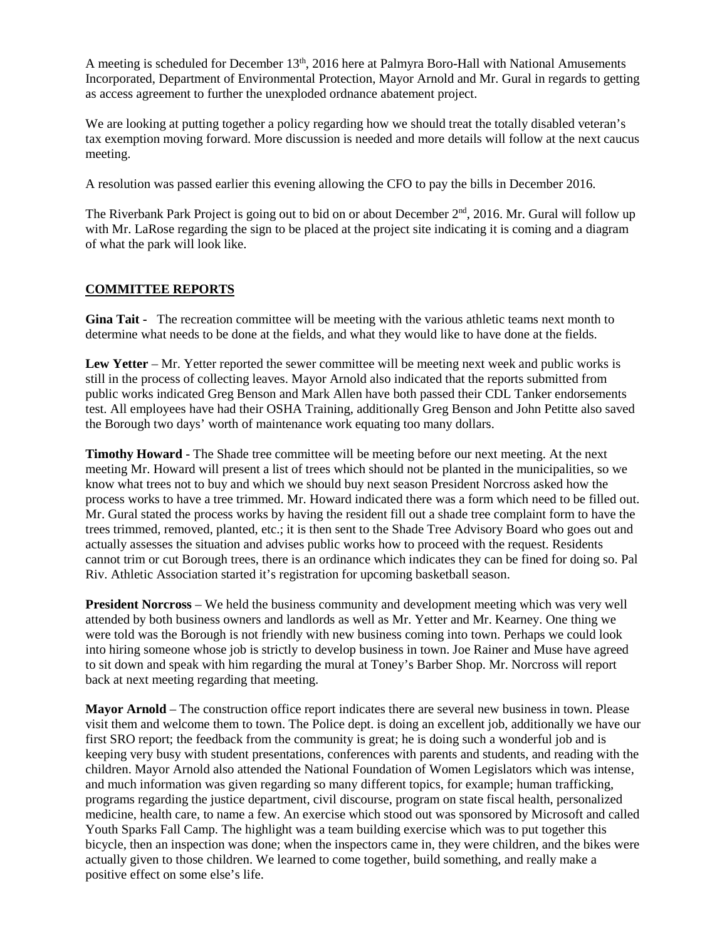A meeting is scheduled for December 13<sup>th</sup>, 2016 here at Palmyra Boro-Hall with National Amusements Incorporated, Department of Environmental Protection, Mayor Arnold and Mr. Gural in regards to getting as access agreement to further the unexploded ordnance abatement project.

We are looking at putting together a policy regarding how we should treat the totally disabled veteran's tax exemption moving forward. More discussion is needed and more details will follow at the next caucus meeting.

A resolution was passed earlier this evening allowing the CFO to pay the bills in December 2016.

The Riverbank Park Project is going out to bid on or about December  $2<sup>nd</sup>$ , 2016. Mr. Gural will follow up with Mr. LaRose regarding the sign to be placed at the project site indicating it is coming and a diagram of what the park will look like.

# **COMMITTEE REPORTS**

**Gina Tait -** The recreation committee will be meeting with the various athletic teams next month to determine what needs to be done at the fields, and what they would like to have done at the fields.

**Lew Yetter** – Mr. Yetter reported the sewer committee will be meeting next week and public works is still in the process of collecting leaves. Mayor Arnold also indicated that the reports submitted from public works indicated Greg Benson and Mark Allen have both passed their CDL Tanker endorsements test. All employees have had their OSHA Training, additionally Greg Benson and John Petitte also saved the Borough two days' worth of maintenance work equating too many dollars.

**Timothy Howard** - The Shade tree committee will be meeting before our next meeting. At the next meeting Mr. Howard will present a list of trees which should not be planted in the municipalities, so we know what trees not to buy and which we should buy next season President Norcross asked how the process works to have a tree trimmed. Mr. Howard indicated there was a form which need to be filled out. Mr. Gural stated the process works by having the resident fill out a shade tree complaint form to have the trees trimmed, removed, planted, etc.; it is then sent to the Shade Tree Advisory Board who goes out and actually assesses the situation and advises public works how to proceed with the request. Residents cannot trim or cut Borough trees, there is an ordinance which indicates they can be fined for doing so. Pal Riv. Athletic Association started it's registration for upcoming basketball season.

**President Norcross** – We held the business community and development meeting which was very well attended by both business owners and landlords as well as Mr. Yetter and Mr. Kearney. One thing we were told was the Borough is not friendly with new business coming into town. Perhaps we could look into hiring someone whose job is strictly to develop business in town. Joe Rainer and Muse have agreed to sit down and speak with him regarding the mural at Toney's Barber Shop. Mr. Norcross will report back at next meeting regarding that meeting.

**Mayor Arnold** – The construction office report indicates there are several new business in town. Please visit them and welcome them to town. The Police dept. is doing an excellent job, additionally we have our first SRO report; the feedback from the community is great; he is doing such a wonderful job and is keeping very busy with student presentations, conferences with parents and students, and reading with the children. Mayor Arnold also attended the National Foundation of Women Legislators which was intense, and much information was given regarding so many different topics, for example; human trafficking, programs regarding the justice department, civil discourse, program on state fiscal health, personalized medicine, health care, to name a few. An exercise which stood out was sponsored by Microsoft and called Youth Sparks Fall Camp. The highlight was a team building exercise which was to put together this bicycle, then an inspection was done; when the inspectors came in, they were children, and the bikes were actually given to those children. We learned to come together, build something, and really make a positive effect on some else's life.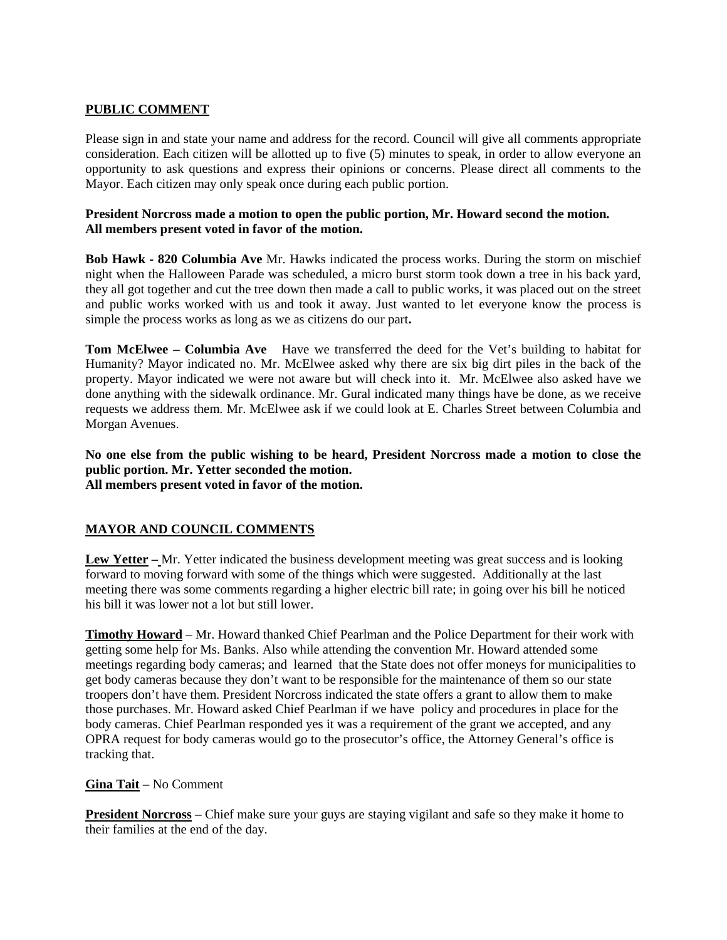# **PUBLIC COMMENT**

Please sign in and state your name and address for the record. Council will give all comments appropriate consideration. Each citizen will be allotted up to five (5) minutes to speak, in order to allow everyone an opportunity to ask questions and express their opinions or concerns. Please direct all comments to the Mayor. Each citizen may only speak once during each public portion.

## **President Norcross made a motion to open the public portion, Mr. Howard second the motion. All members present voted in favor of the motion.**

**Bob Hawk - 820 Columbia Ave** Mr. Hawks indicated the process works. During the storm on mischief night when the Halloween Parade was scheduled, a micro burst storm took down a tree in his back yard, they all got together and cut the tree down then made a call to public works, it was placed out on the street and public works worked with us and took it away. Just wanted to let everyone know the process is simple the process works as long as we as citizens do our part**.** 

**Tom McElwee – Columbia Ave** Have we transferred the deed for the Vet's building to habitat for Humanity? Mayor indicated no. Mr. McElwee asked why there are six big dirt piles in the back of the property. Mayor indicated we were not aware but will check into it. Mr. McElwee also asked have we done anything with the sidewalk ordinance. Mr. Gural indicated many things have be done, as we receive requests we address them. Mr. McElwee ask if we could look at E. Charles Street between Columbia and Morgan Avenues.

**No one else from the public wishing to be heard, President Norcross made a motion to close the public portion. Mr. Yetter seconded the motion. All members present voted in favor of the motion.** 

# **MAYOR AND COUNCIL COMMENTS**

**Lew Yetter –** Mr. Yetter indicated the business development meeting was great success and is looking forward to moving forward with some of the things which were suggested. Additionally at the last meeting there was some comments regarding a higher electric bill rate; in going over his bill he noticed his bill it was lower not a lot but still lower.

**Timothy Howard** – Mr. Howard thanked Chief Pearlman and the Police Department for their work with getting some help for Ms. Banks. Also while attending the convention Mr. Howard attended some meetings regarding body cameras; and learned that the State does not offer moneys for municipalities to get body cameras because they don't want to be responsible for the maintenance of them so our state troopers don't have them. President Norcross indicated the state offers a grant to allow them to make those purchases. Mr. Howard asked Chief Pearlman if we have policy and procedures in place for the body cameras. Chief Pearlman responded yes it was a requirement of the grant we accepted, and any OPRA request for body cameras would go to the prosecutor's office, the Attorney General's office is tracking that.

# **Gina Tait** – No Comment

**President Norcross** – Chief make sure your guys are staying vigilant and safe so they make it home to their families at the end of the day.